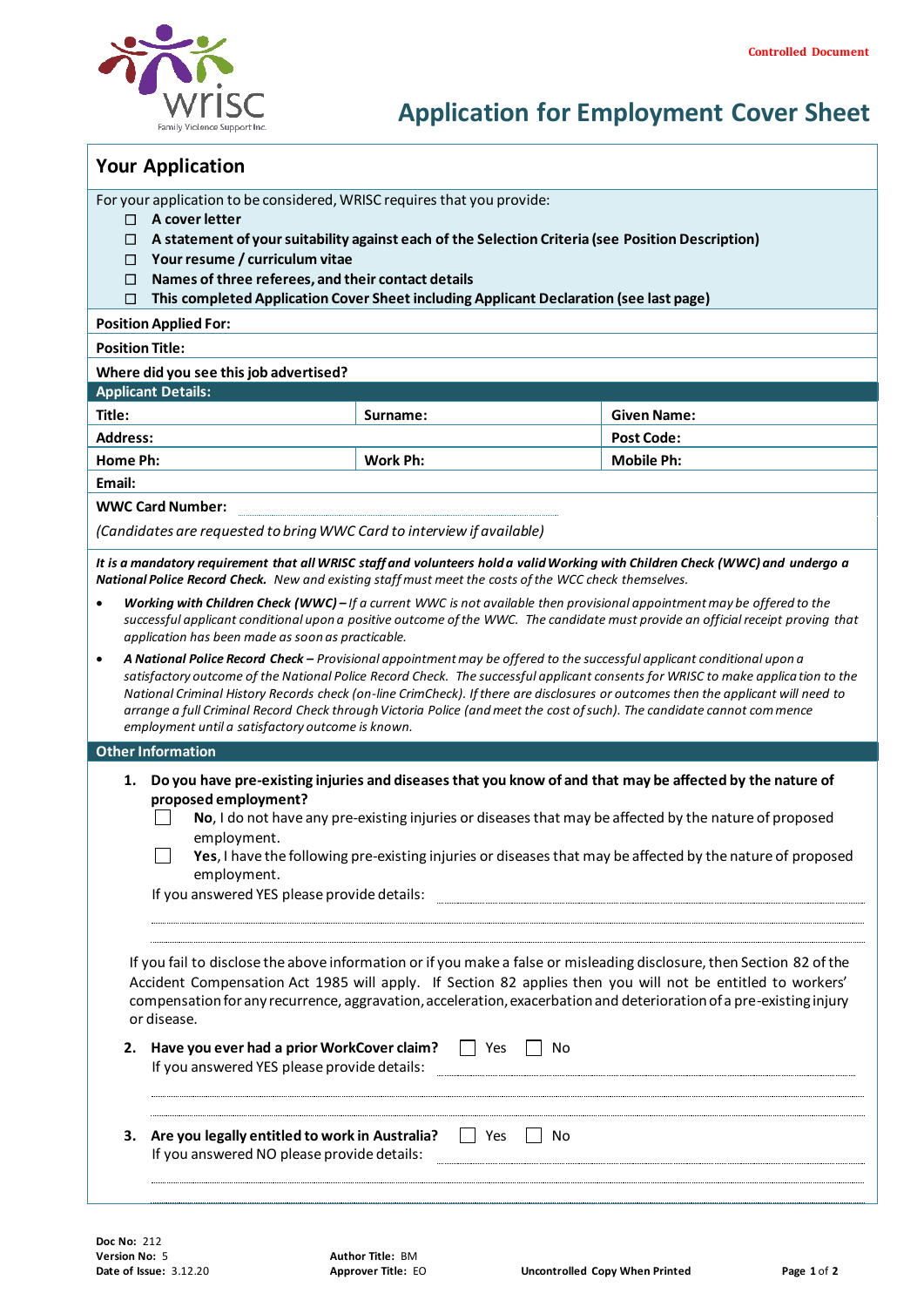

# **Application for Employment Cover Sheet**

|  |  | <b>Your Application</b> |
|--|--|-------------------------|
|--|--|-------------------------|

For your application to be considered, WRISC requires that you provide:

- **A cover letter**
- **A statement of your suitability against each of the Selection Criteria (see Position Description)**
- **Your resume / curriculum vitae**
- **Names of three referees, and their contact details**

**This completed Application Cover Sheet including Applicant Declaration (see last page)**

**Position Applied For:** 

**Position Title:** 

**Where did you see this job advertised?** 

## **Applicant Details:**

| Title:          | Surname: | <b>Given Name:</b> |
|-----------------|----------|--------------------|
| <b>Address:</b> |          | <b>Post Code:</b>  |
| Home Ph:        | Work Ph: | <b>Mobile Ph:</b>  |

# **Email:**

**WWC Card Number:** 

*(Candidates are requested to bring WWC Card to interview if available)*

*It is a mandatory requirement that all WRISC staff and volunteers hold a valid Working with Children Check (WWC) and undergo a National Police Record Check. New and existing staff must meet the costs of the WCC check themselves.*

- *Working with Children Check (WWC) – If a current WWC is not available then provisional appointment may be offered to the successful applicant conditional upon a positive outcome of the WWC. The candidate must provide an official receipt proving that application has been made as soon as practicable.*
- *A National Police Record Check – Provisional appointment may be offered to the successful applicant conditional upon a satisfactory outcome of the National Police Record Check. The successful applicant consents for WRISC to make applica tion to the National Criminal History Records check (on-line CrimCheck). If there are disclosures or outcomes then the applicant will need to arrange a full Criminal Record Check through Victoria Police (and meet the cost of such). The candidate cannot commence employment until a satisfactory outcome is known.*

#### **Other Information**

- **1. Do you have pre-existing injuries and diseases that you know of and that may be affected by the nature of proposed employment?**
	- **No**, I do not have any pre-existing injuries or diseases that may be affected by the nature of proposed employment.
	- $\Box$ **Yes**, I have the following pre-existing injuries or diseases that may be affected by the nature of proposed employment.

If you answered YES please provide details: 

If you fail to disclose the above information or if you make a false or misleading disclosure, then Section 82 of the Accident Compensation Act 1985 will apply. If Section 82 applies then you will not be entitled to workers' compensation for any recurrence, aggravation, acceleration, exacerbation and deterioration of a pre-existing injury or disease.

- **2. Have you ever had a prior WorkCover claim?**  $\Box$  Yes  $\Box$  No If you answered YES please provide details:
- **3.** Are you legally entitled to work in Australia?  $\Box$  Yes  $\Box$  No If you answered NO please provide details: